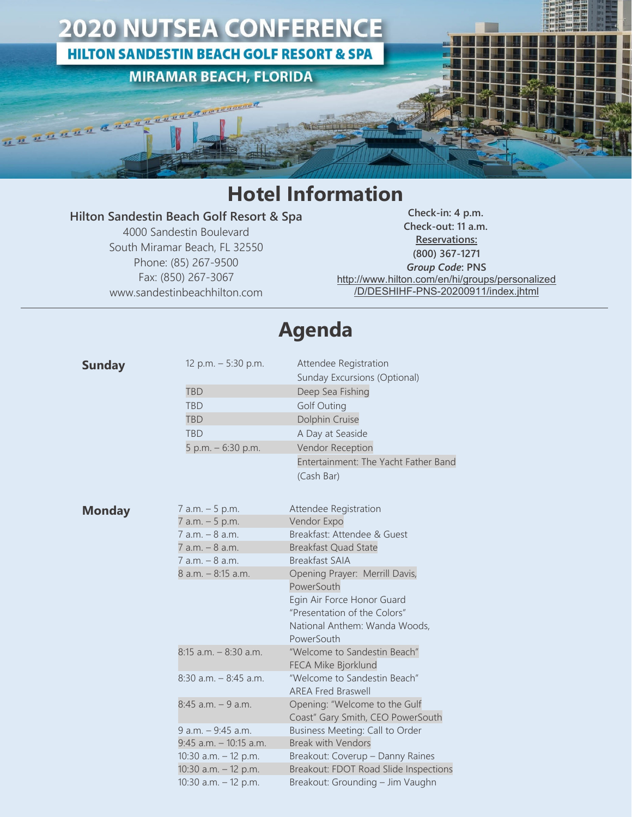

## **Hotel Information**

## **Hilton Sandestin Beach Golf Resort & Spa**

4000 Sandestin Boulevard South Miramar Beach, FL 32550 Phone: (85) 267-9500 Fax: (850) 267-3067 www.sandestinbeachhilton.com

**Check-in: 4 p.m. Check-out: 11 a.m. Reservations: (800) 367-1271** *Group Code***: PNS** [http://www.hilton.com/en/hi/groups/personalized](about:blank) [/D/DESHIHF-PNS-20200911/index.jhtml](about:blank)

## **Agenda**

| <b>Sunday</b> | 12 p.m. - 5:30 p.m.       | Attendee Registration<br>Sunday Excursions (Optional)              |
|---------------|---------------------------|--------------------------------------------------------------------|
|               | <b>TBD</b>                | Deep Sea Fishing                                                   |
|               | <b>TBD</b>                | <b>Golf Outing</b>                                                 |
|               | <b>TBD</b>                | Dolphin Cruise                                                     |
|               | <b>TBD</b>                | A Day at Seaside                                                   |
|               | 5 p.m. - 6:30 p.m.        | Vendor Reception                                                   |
|               |                           | Entertainment: The Yacht Father Band                               |
|               |                           | (Cash Bar)                                                         |
| <b>Monday</b> | 7 a.m. - 5 p.m.           | Attendee Registration                                              |
|               | 7 a.m. - 5 p.m.           | Vendor Expo                                                        |
|               | 7 a.m. - 8 a.m.           | Breakfast: Attendee & Guest                                        |
|               | 7 a.m. - 8 a.m.           | <b>Breakfast Quad State</b>                                        |
|               | $7$ a.m. $-$ 8 a.m.       | <b>Breakfast SAIA</b>                                              |
|               | 8 a.m. - 8:15 a.m.        | Opening Prayer: Merrill Davis,                                     |
|               |                           | PowerSouth                                                         |
|               |                           | Egin Air Force Honor Guard                                         |
|               |                           | "Presentation of the Colors"                                       |
|               |                           | National Anthem: Wanda Woods,                                      |
|               |                           | PowerSouth                                                         |
|               | $8:15$ a.m. $-8:30$ a.m.  | "Welcome to Sandestin Beach"<br>FECA Mike Bjorklund                |
|               | $8:30$ a.m. $-8:45$ a.m.  | "Welcome to Sandestin Beach"<br><b>AREA Fred Braswell</b>          |
|               | $8:45$ a.m. $-9$ a.m.     | Opening: "Welcome to the Gulf<br>Coast" Gary Smith, CEO PowerSouth |
|               | $9$ a.m. $-9:45$ a.m.     | Business Meeting: Call to Order                                    |
|               | $9:45$ a.m. $-10:15$ a.m. | <b>Break with Vendors</b>                                          |
|               | 10:30 a.m. - 12 p.m.      | Breakout: Coverup - Danny Raines                                   |
|               | 10:30 a.m. - 12 p.m.      | Breakout: FDOT Road Slide Inspections                              |
|               | 10:30 a.m. - 12 p.m.      | Breakout: Grounding - Jim Vaughn                                   |